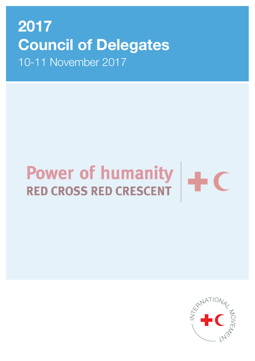# 2017 Council of Delegates 10-11 November 2017

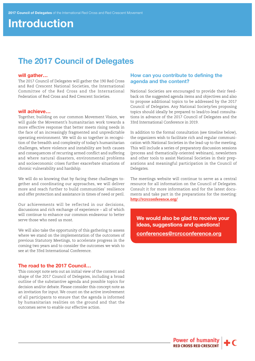# Introduction

### The 2017 Council of Delegates

#### will gather…

The 2017 Council of Delegates will gather the 190 Red Cross and Red Crescent National Societies, the International Committee of the Red Cross and the International Federation of Red Cross and Red Crescent Societies.

#### will achieve…

Together, building on our common Movement Vision, we will guide the Movement's humanitarian work towards a more effective response that better meets rising needs in the face of an increasingly fragmented and unpredictable operating environment. We will do so together in recognition of the breadth and complexity of today's humanitarian challenges, where violence and instability are both causes and consequences of recurring armed conflict and suffering and where natural disasters, environmental problems and socioeconomic crises further exacerbate situations of chronic vulnerability and hardship.

We will do so knowing that by facing these challenges together and coordinating our approaches, we will deliver more and reach further to build communities' resilience and offer protection and assistance in times of need or peril.

Our achievements will be reflected in our decisions, discussions and rich exchange of experience – all of which will continue to enhance our common endeavour to better serve those who need us most.

We will also take the opportunity of this gathering to assess where we stand on the implementation of the outcomes of previous Statutory Meetings, to accelerate progress in the coming two years and to consider the outcomes we wish to see at the 33rd International Conference.

#### The road to the 2017 Council…

This concept note sets out an initial view of the content and shape of the 2017 Council of Delegates, including a broad outline of the substantive agenda and possible topics for decision and/or debate. Please consider this concept note as an invitation for input. We count on the active involvement of all participants to ensure that the agenda is informed by humanitarian realities on the ground and that the outcomes serve to enable our effective action.

#### How can you contribute to defining the agenda and the content?

National Societies are encouraged to provide their feedback on the suggested agenda items and objectives and also to propose additional topics to be addressed by the 2017 Council of Delegates. Any National Society/ies proposing topics should ideally be prepared to lead/co-lead consultations in advance of the 2017 Council of Delegates and the 33rd International Conference in 2019.

In addition to the formal consultation (see timeline below), the organizers wish to facilitate rich and regular communication with National Societies in the lead-up to the meeting. This will include a series of preparatory discussion sessions (process and thematically-oriented webinars), newsletters and other tools to assist National Societies in their preparations and meaningful participation in the Council of Delegates.

The meetings website will continue to serve as a central resource for all information on the Council of Delegates. Consult it for more information and for the latest documents and take part in the preparations for the meeting: <http://rcrcconference.org/>

We would also be glad to receive your ideas, suggestions and questions! [conferences@rcrcconference.org](mailto:conferences%40rcrcconference.org?subject=)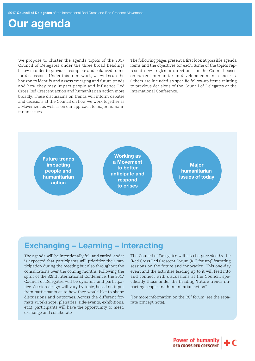## Our agenda

We propose to cluster the agenda topics of the 2017 Council of Delegates under the three broad headings below in order to provide a complete and balanced frame for discussions. Under this framework, we will scan the horizon to identify and assess emerging and future trends and how they may impact people and influence Red Cross Red Crescent action and humanitarian action more broadly. These discussions on trends will inform debates and decisions at the Council on how we work together as a Movement as well as on our approach to major humanitarian issues.

The following pages present a first look at possible agenda items and the objectives for each. Some of the topics represent new angles or directions for the Council based on current humanitarian developments and concerns. Others are included as specific follow-up items relating to previous decisions of the Council of Delegates or the International Conference.



### Exchanging – Learning – Interacting

The agenda will be intentionally full and varied, and it is expected that participants will prioritize their participation during the meeting but also throughout the consultations over the coming months. Following the spirit of the 32nd International Conference, the 2017 Council of Delegates will be dynamic and participative. Session design will vary by topic, based on input from participants as to how they would like to shape discussions and outcomes. Across the different formats (workshops, plenaries, side-events, exhibitions, etc.), participants will have the opportunity to meet, exchange and collaborate.

The Council of Delegates will also be preceded by the "Red Cross Red Crescent Forum (RC2 forum)" featuring sessions on the future and innovation. This one-day event and the activities leading up to it will feed into and connect with discussions at the Council, specifically those under the heading "future trends impacting people and humanitarian action".

(For more information on the  $RC<sup>2</sup>$  forum, see the separate concept note).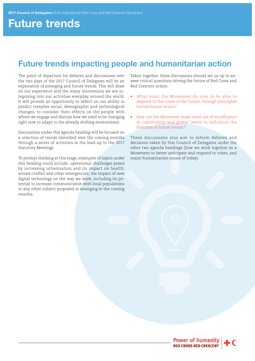# Future trends

### Future trends impacting people and humanitarian action

The point of departure for debates and discussions over the two days of the 2017 Council of Delegates will be an exploration of emerging and future trends. This will draw on our experience and the many innovations we are integrating into our activities everyday around the world. It will provide an opportunity to reflect on our ability to predict complex social, demographic and technological changes, to consider their effects on the people with whom we engage and discuss how we need to be changing right now to adapt to the already shifting environment.

Discussions under this agenda heading will be focused on a selection of trends identified over the coming months through a series of activities in the lead-up to the 2017 Statutory Meetings.

To prompt thinking at this stage, examples of topics under this heading could include: operational challenges posed by increasing urbanization and its impact on health; armed conflict and other emergencies; the impact of new digital technology on the way we work, including its potential to increase communication with local populations or any other subject proposed or emerging in the coming months.

Taken together, these discussions should set us up to answer critical questions driving the future of Red Cross and Red Crescent action:

- What must the Movement do now to be able to respond to the crises of the future, through principled humanitarian action?
- How can the Movement make most use of its influence at community and global levels to influence the direction of future trends?

These discussions also aim to inform debates and decisions taken by this Council of Delegates under the other two agenda headings (how we work together as a Movement to better anticipate and respond to crises, and major humanitarian issues of today).

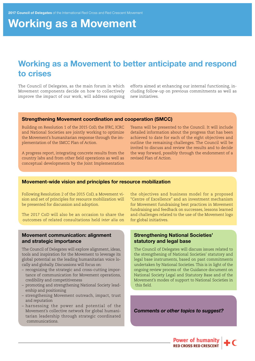# Working as a Movement

### Working as a Movement to better anticipate and respond to crises

The Council of Delegates, as the main forum in which Movement components decide on how to collectively improve the impact of our work, will address ongoing

efforts aimed at enhancing our internal functioning, including follow-up on previous commitments as well as new initiatives.

#### Strengthening Movement coordination and cooperation (SMCC)

Building on Resolution 1 of the 2015 CoD, the IFRC, ICRC and National Societies are jointly working to optimize the Movement's humanitarian response through the implementation of the SMCC Plan of Action.

A progress report, integrating concrete results from the country labs and from other field operations as well as conceptual developments by the Joint Implementation

Teams will be presented to the Council. It will include detailed information about the progress that has been achieved to date for each of the eight objectives and outline the remaining challenges. The Council will be invited to discuss and review the results and to decide the way forward, possibly through the endorsment of a revised Plan of Action.

#### Movement-wide vision and principles for resource mobilization

Following Resolution 2 of the 2015 CoD, a Movement vision and set of principles for resource mobilization will be presented for discussion and adoption.

The 2017 CoD will also be an occasion to share the outcomes of related consultations held *inter alia* on

#### Movement communication: alignment and strategic importance

The Council of Delegates will explore alignment, ideas, tools and inspiration for the Movement to leverage its global potential as the leading humanitarian voice locally and globally. Discussions will focus on:

- recognizing the strategic and cross-cutting importance of communication for Movement operations, credibility and competitiveness
- promoting and strengthening National Society leadership and positioning
- strengthening Movement outreach, impact, trust and reputation
- harnessing the power and potential of the Movement's collective network for global humanitarian leadership through strategic coordinated communications.

the objectives and business model for a proposed "Centre of Excellence" and an investment mechanism for Movement fundraising best practices in Movement fundraising and feedback on successes, lessons learned and challenges related to the use of the Movement logo for global initiatives.

#### Strengthening National Societies' statutory and legal base

The Council of Delegates will discuss issues related to the strengthening of National Societies' statutory and legal base instruments, based on past commitments undertaken by National Societies. This is in light of the ongoing review process of the Guidance document on National Society Legal and Statutory Base and of the Movement's modes of support to National Societies in this field.

*Comments or other topics to suggest?*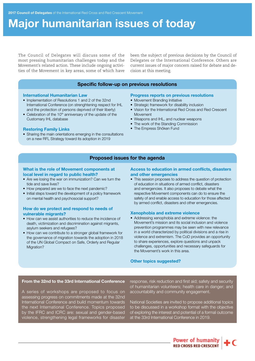# Major humanitarian issues of today

The Council of Delegates will discuss some of the most pressing humanitarian challenges today and the Movement's related action. These include ongoing activities of the Movement in key areas, some of which have been the subject of previous decisions by the Council of Delegates or the International Conference. Others are current issues of major concern raised for debate and decision at this meeting.

#### Specific follow-up on previous resolutions

#### International Humanitarian Law

- Implementation of Resolutions 1 and 2 of the 32nd International Conference (on strenghtening respect for IHL and the protection of persons deprived of their liberty)
- Celebration of the 10<sup>th</sup> anniversary of the update of the Customary IHL database

#### Restoring Family Links

• Sharing the main orientations emerging in the consultations on a new RFL Strategy toward its adoption in 2019

#### Progress reports on previous resolutions

- Movement Branding Initiative
- Strategic framework for disability inclusion
- Vision for the International Red Cross and Red Crescent Movement
- Weapons and IHL, and nuclear weapons
- The work of the Standing Commission
- The Empress Shôken Fund

#### Proposed issues for the agenda

#### What is the role of Movement components at local level in regard to public health?

- Are we losing the war on immunization? Can we turn the tide and save lives?
- How prepared are we to face the next pandemic?
- Initial steps toward the development of a policy framework on mental health and psychosocial support?

#### How do we protect and respond to needs of vulnerable migrants?

- How can we assist authorities to reduce the incidence of death, victimization and discrimination against migrants, asylum seekers and refugees?
- How can we contribute to a stronger global framework for the governance of migration towards the adoption in 2018 of the UN Global Compact on Safe, Orderly and Regular Migration?

#### Access to education in armed conflicts, disasters and other emergencies

• This session proposes to address the question of protection of education in situations of armed conflict, disasters and emergencies. It also proposes to debate what the respective Movement components can do to ensure the safety of and enable access to education for those affected by armed conflict, disasters and other emergencies.

#### Xenophobia and extreme violence

• Addressing xenophobia and extreme violence: the Movement's mission and its social inclusion and violence prevention programmes may be seen with new relevance in a world characterized by political divisions and a rise in violence and extremism. The CoD provides an opportunity to share experiences, explore questions and unpack challenges, opportunities and necessary safeguards for the Movement's work in this area.

#### Other topics suggested?

#### From the 32nd to the 33rd International Conference

A series of workshops are proposed to focus on assessing progress on commitments made at the 32nd International Conference and build momentum towards the next International Conference. Topics proposed by the IFRC and ICRC are: sexual and gender-based violence, strengthening legal frameworks for disaster

response, risk reduction and first aid; safety and security of humanitarian volunteers; health care in danger; and accountability and community engagement.

National Societies are invited to propose additional topics to be discussed in a workshop format with the objective of exploring the interest and potential of a formal outcome at the 33rd International Conference in 2019.